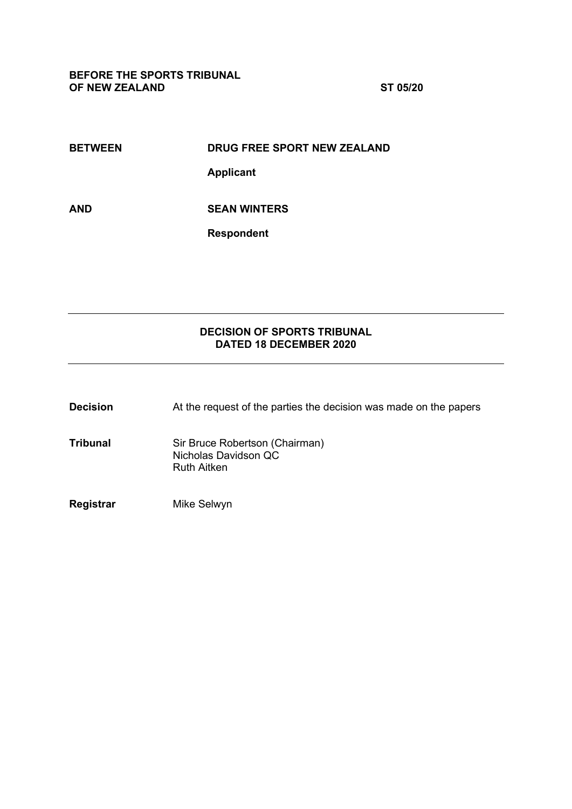**BETWEEN DRUG FREE SPORT NEW ZEALAND** 

**Applicant**

**AND SEAN WINTERS**

**Respondent**

# **DECISION OF SPORTS TRIBUNAL DATED 18 DECEMBER 2020**

| <b>Decision</b> | At the request of the parties the decision was made on the papers            |
|-----------------|------------------------------------------------------------------------------|
| <b>Tribunal</b> | Sir Bruce Robertson (Chairman)<br>Nicholas Davidson QC<br><b>Ruth Aitken</b> |
| Registrar       | Mike Selwyn                                                                  |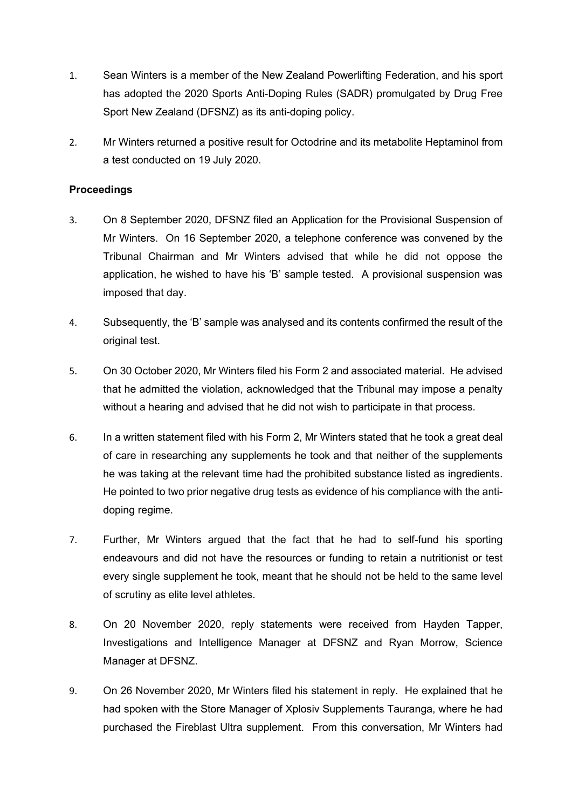- 1. Sean Winters is a member of the New Zealand Powerlifting Federation, and his sport has adopted the 2020 Sports Anti-Doping Rules (SADR) promulgated by Drug Free Sport New Zealand (DFSNZ) as its anti-doping policy.
- 2. Mr Winters returned a positive result for Octodrine and its metabolite Heptaminol from a test conducted on 19 July 2020.

# **Proceedings**

- 3. On 8 September 2020, DFSNZ filed an Application for the Provisional Suspension of Mr Winters. On 16 September 2020, a telephone conference was convened by the Tribunal Chairman and Mr Winters advised that while he did not oppose the application, he wished to have his 'B' sample tested. A provisional suspension was imposed that day.
- 4. Subsequently, the 'B' sample was analysed and its contents confirmed the result of the original test.
- 5. On 30 October 2020, Mr Winters filed his Form 2 and associated material. He advised that he admitted the violation, acknowledged that the Tribunal may impose a penalty without a hearing and advised that he did not wish to participate in that process.
- 6. In a written statement filed with his Form 2, Mr Winters stated that he took a great deal of care in researching any supplements he took and that neither of the supplements he was taking at the relevant time had the prohibited substance listed as ingredients. He pointed to two prior negative drug tests as evidence of his compliance with the antidoping regime.
- 7. Further, Mr Winters argued that the fact that he had to self-fund his sporting endeavours and did not have the resources or funding to retain a nutritionist or test every single supplement he took, meant that he should not be held to the same level of scrutiny as elite level athletes.
- 8. On 20 November 2020, reply statements were received from Hayden Tapper, Investigations and Intelligence Manager at DFSNZ and Ryan Morrow, Science Manager at DFSNZ.
- 9. On 26 November 2020, Mr Winters filed his statement in reply. He explained that he had spoken with the Store Manager of Xplosiv Supplements Tauranga, where he had purchased the Fireblast Ultra supplement. From this conversation, Mr Winters had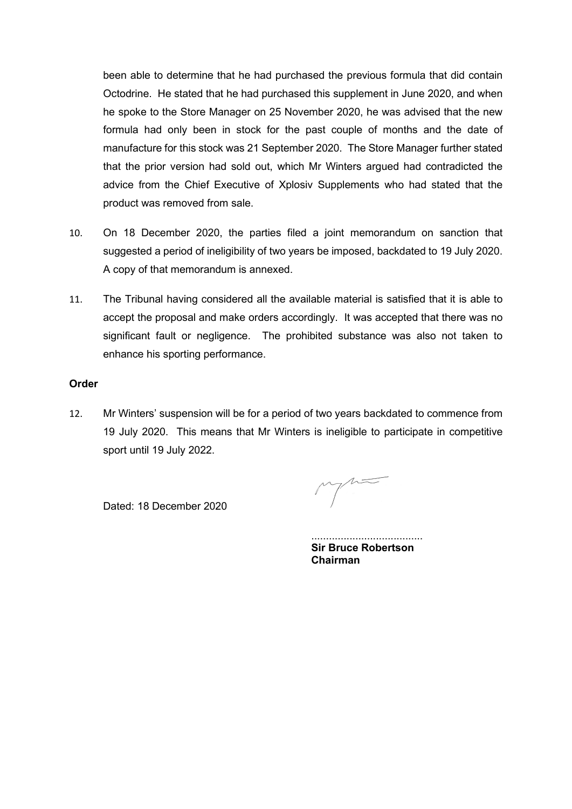been able to determine that he had purchased the previous formula that did contain Octodrine. He stated that he had purchased this supplement in June 2020, and when he spoke to the Store Manager on 25 November 2020, he was advised that the new formula had only been in stock for the past couple of months and the date of manufacture for this stock was 21 September 2020. The Store Manager further stated that the prior version had sold out, which Mr Winters argued had contradicted the advice from the Chief Executive of Xplosiv Supplements who had stated that the product was removed from sale.

- 10. On 18 December 2020, the parties filed a joint memorandum on sanction that suggested a period of ineligibility of two years be imposed, backdated to 19 July 2020. A copy of that memorandum is annexed.
- 11. The Tribunal having considered all the available material is satisfied that it is able to accept the proposal and make orders accordingly. It was accepted that there was no significant fault or negligence. The prohibited substance was also not taken to enhance his sporting performance.

### **Order**

12. Mr Winters' suspension will be for a period of two years backdated to commence from 19 July 2020. This means that Mr Winters is ineligible to participate in competitive sport until 19 July 2022.

Dated: 18 December 2020

...................................... **Sir Bruce Robertson Chairman**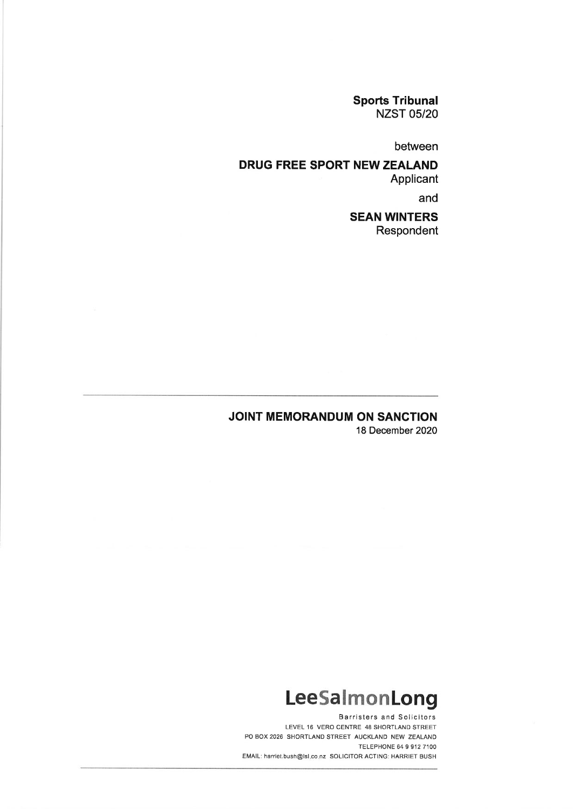**Sports Tribunal NZST 05/20** 

between

# DRUG FREE SPORT NEW ZEALAND Applicant

and

# **SEAN WINTERS** Respondent

# **JOINT MEMORANDUM ON SANCTION**

18 December 2020

# LeeSalmonLong

**Barristers and Solicitors** LEVEL 16 VERO CENTRE 48 SHORTLAND STREET PO BOX 2026 SHORTLAND STREET AUCKLAND NEW ZEALAND TELEPHONE 64 9 912 7100 EMAIL: harriet.bush@lsl.co.nz SOLICITOR ACTING: HARRIET BUSH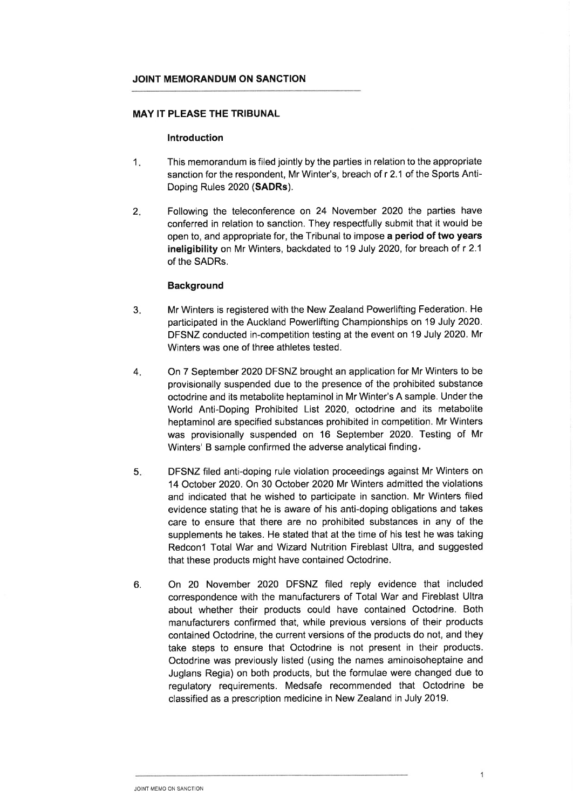#### JOINT MEMORANDUM ON SANCTION

#### **MAY IT PLEASE THE TRIBUNAL**

#### Introduction

- $1.$ This memorandum is filed jointly by the parties in relation to the appropriate sanction for the respondent, Mr Winter's, breach of r 2.1 of the Sports Anti-Doping Rules 2020 (SADRs).
- $2.$ Following the teleconference on 24 November 2020 the parties have conferred in relation to sanction. They respectfully submit that it would be open to, and appropriate for, the Tribunal to impose a period of two years ineligibility on Mr Winters, backdated to 19 July 2020, for breach of r 2.1 of the SADRs.

#### **Background**

- $3.$ Mr Winters is registered with the New Zealand Powerlifting Federation. He participated in the Auckland Powerlifting Championships on 19 July 2020. DFSNZ conducted in-competition testing at the event on 19 July 2020. Mr Winters was one of three athletes tested.
- $4.$ On 7 September 2020 DFSNZ brought an application for Mr Winters to be provisionally suspended due to the presence of the prohibited substance octodrine and its metabolite heptaminol in Mr Winter's A sample. Under the World Anti-Doping Prohibited List 2020, octodrine and its metabolite heptaminol are specified substances prohibited in competition. Mr Winters was provisionally suspended on 16 September 2020. Testing of Mr Winters' B sample confirmed the adverse analytical finding.
- DFSNZ filed anti-doping rule violation proceedings against Mr Winters on  $5.$ 14 October 2020. On 30 October 2020 Mr Winters admitted the violations and indicated that he wished to participate in sanction. Mr Winters filed evidence stating that he is aware of his anti-doping obligations and takes care to ensure that there are no prohibited substances in any of the supplements he takes. He stated that at the time of his test he was taking Redcon1 Total War and Wizard Nutrition Fireblast Ultra, and suggested that these products might have contained Octodrine.
- On 20 November 2020 DFSNZ filed reply evidence that included 6. correspondence with the manufacturers of Total War and Fireblast Ultra about whether their products could have contained Octodrine. Both manufacturers confirmed that, while previous versions of their products contained Octodrine, the current versions of the products do not, and they take steps to ensure that Octodrine is not present in their products. Octodrine was previously listed (using the names aminoisoheptaine and Juglans Regia) on both products, but the formulae were changed due to regulatory requirements. Medsafe recommended that Octodrine be classified as a prescription medicine in New Zealand in July 2019.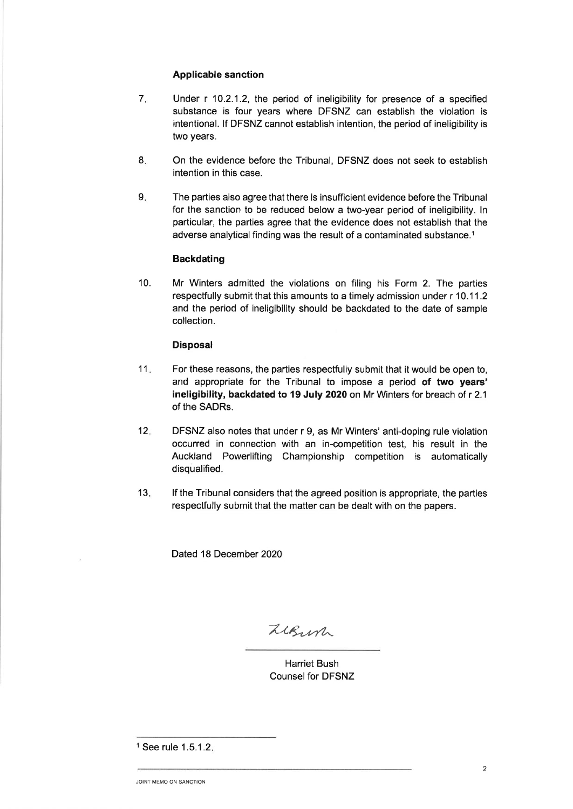#### **Applicable sanction**

- $7.$ Under r 10.2.1.2, the period of ineligibility for presence of a specified substance is four years where DFSNZ can establish the violation is intentional. If DFSNZ cannot establish intention, the period of ineligibility is two years.
- 8. On the evidence before the Tribunal, DFSNZ does not seek to establish intention in this case.
- $9<sub>1</sub>$ The parties also agree that there is insufficient evidence before the Tribunal for the sanction to be reduced below a two-year period of ineligibility. In particular, the parties agree that the evidence does not establish that the adverse analytical finding was the result of a contaminated substance.<sup>1</sup>

#### **Backdating**

 $10.$ Mr Winters admitted the violations on filing his Form 2. The parties respectfully submit that this amounts to a timely admission under r 10.11.2 and the period of ineligibility should be backdated to the date of sample collection.

#### **Disposal**

- $11.$ For these reasons, the parties respectfully submit that it would be open to. and appropriate for the Tribunal to impose a period of two years' ineligibility, backdated to 19 July 2020 on Mr Winters for breach of r 2.1 of the SADRs.
- $12.$ DFSNZ also notes that under r 9, as Mr Winters' anti-doping rule violation occurred in connection with an in-competition test, his result in the Auckland Powerlifting Championship competition is automatically disqualified.
- $13.$ If the Tribunal considers that the agreed position is appropriate, the parties respectfully submit that the matter can be dealt with on the papers.

Dated 18 December 2020

LeBurn

**Harriet Bush Counsel for DFSNZ** 

<sup>&</sup>lt;sup>1</sup> See rule 1.5.1.2.